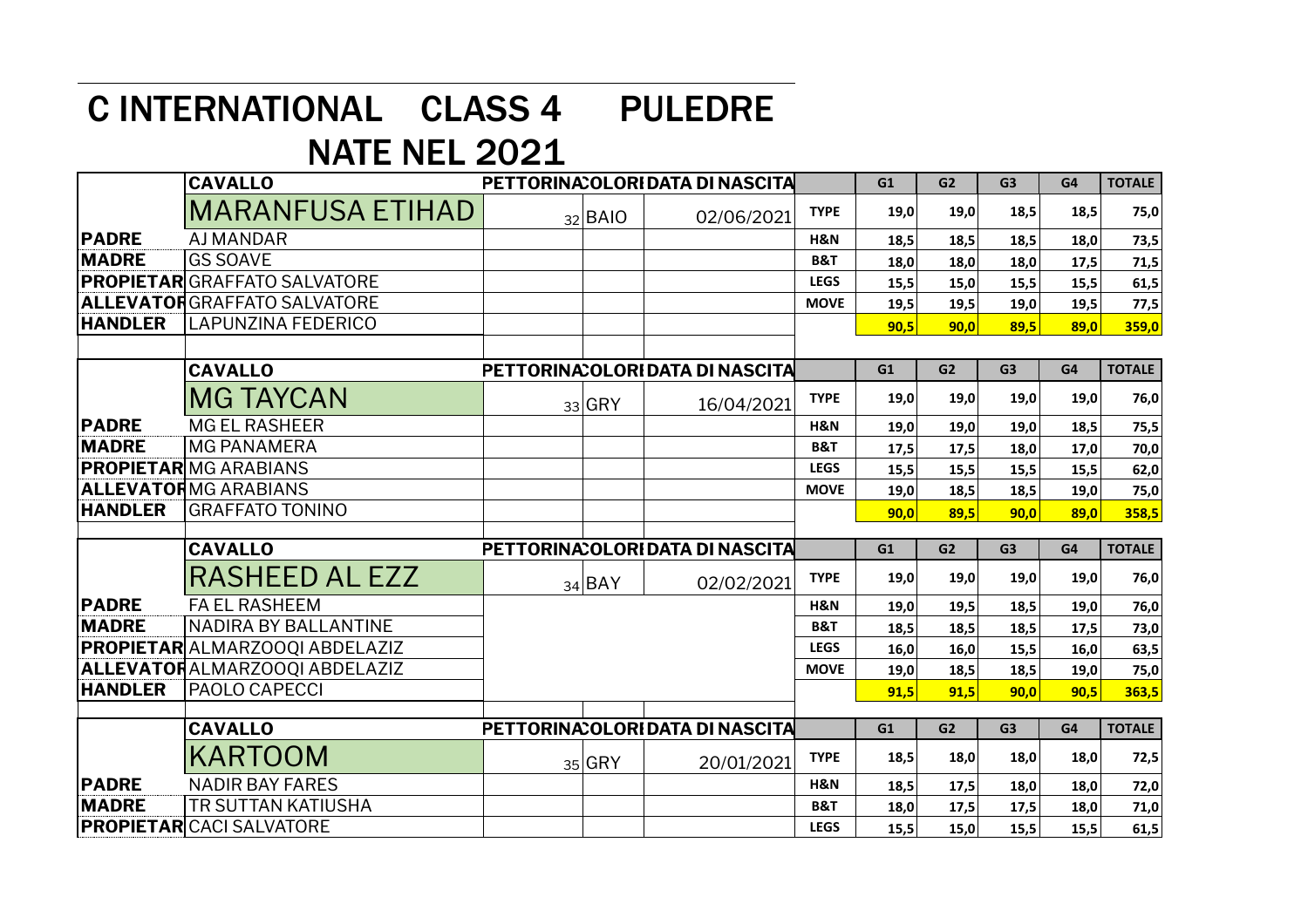## C INTERNATIONAL CLASS 4 PULEDRE

## NATE NEL 2021

|                | <b>CAVALLO</b>                       | PETTORINA: OLORIDATA DI NASCITA |             |                                  |                | G1   | G <sub>2</sub> | G <sub>3</sub> | G4   | <b>TOTALE</b> |
|----------------|--------------------------------------|---------------------------------|-------------|----------------------------------|----------------|------|----------------|----------------|------|---------------|
|                | <b>MARANFUSA ETIHAD</b>              |                                 | $32$ $BAIO$ | 02/06/2021                       | <b>TYPE</b>    | 19,0 | 19,0           | 18,5           | 18,5 | 75,0          |
| <b>PADRE</b>   | <b>AJ MANDAR</b>                     |                                 |             |                                  | H&N            | 18,5 | 18,5           | 18,5           | 18,0 | 73,5          |
| <b>MADRE</b>   | <b>GS SOAVE</b>                      |                                 |             |                                  | <b>B&amp;T</b> | 18,0 | 18,0           | 18,0           | 17,5 | 71,5          |
|                | PROPIETAR GRAFFATO SALVATORE         |                                 |             |                                  | <b>LEGS</b>    | 15,5 | 15,0           | 15,5           | 15,5 | 61,5          |
|                | <b>ALLEVATOR</b> GRAFFATO SALVATORE  |                                 |             |                                  | <b>MOVE</b>    | 19,5 | 19,5           | 19,0           | 19,5 | 77,5          |
| <b>HANDLER</b> | <b>LAPUNZINA FEDERICO</b>            |                                 |             |                                  |                | 90,5 | 90,0           | 89,5           | 89,0 | 359,0         |
|                |                                      |                                 |             |                                  |                |      |                |                |      |               |
|                | <b>CAVALLO</b>                       |                                 |             | PETTORINA: OLORI DATA DI NASCITA |                | G1   | G <sub>2</sub> | G <sub>3</sub> | G4   | <b>TOTALE</b> |
|                | <b>MG TAYCAN</b>                     |                                 | $33$ GRY    | 16/04/2021                       | <b>TYPE</b>    | 19,0 | 19,0           | 19,0           | 19,0 | 76,0          |
| <b>PADRE</b>   | <b>MG EL RASHEER</b>                 |                                 |             |                                  | H&N            | 19,0 | 19,0           | 19,0           | 18,5 | 75,5          |
| <b>MADRE</b>   | <b>MG PANAMERA</b>                   |                                 |             |                                  | <b>B&amp;T</b> | 17,5 | 17,5           | 18,0           | 17,0 | 70,0          |
|                | <b>PROPIETAR</b> IMG ARABIANS        |                                 |             |                                  | <b>LEGS</b>    | 15,5 | 15,5           | 15,5           | 15,5 | 62,0          |
|                | <b>ALLEVATORMG ARABIANS</b>          |                                 |             |                                  | <b>MOVE</b>    | 19,0 | 18,5           | 18,5           | 19,0 | 75,0          |
| <b>HANDLER</b> | <b>GRAFFATO TONINO</b>               |                                 |             |                                  |                | 90,0 | 89,5           | 90.0           | 89.0 | 358,5         |
|                | <b>CAVALLO</b>                       |                                 |             | PETTORINA: OLORI DATA DI NASCITA |                | G1   | G <sub>2</sub> | G <sub>3</sub> | G4   | <b>TOTALE</b> |
|                | <b>RASHEED AL EZZ</b>                |                                 | 34 BAY      | 02/02/2021                       | <b>TYPE</b>    | 19,0 | 19,0           | 19,0           | 19,0 | 76,0          |
| <b>PADRE</b>   | <b>FA EL RASHEEM</b>                 |                                 |             |                                  | H&N            | 19,0 | 19,5           | 18,5           | 19,0 | 76,0          |
| <b>MADRE</b>   | <b>NADIRA BY BALLANTINE</b>          |                                 |             |                                  | <b>B&amp;T</b> | 18,5 | 18,5           | 18,5           | 17,5 | 73,0          |
|                | PROPIETAR ALMARZOOQI ABDELAZIZ       |                                 |             |                                  | <b>LEGS</b>    | 16,0 | 16,0           | 15,5           | 16,0 | 63,5          |
|                | <b>ALLEVATORALMARZOOQI ABDELAZIZ</b> |                                 |             |                                  | <b>MOVE</b>    | 19,0 | 18,5           | 18,5           | 19,0 | 75,0          |
| <b>HANDLER</b> | PAOLO CAPECCI                        |                                 |             |                                  |                | 91,5 | 91,5           | 90,0           | 90,5 | 363,5         |
|                |                                      |                                 |             |                                  |                |      |                |                |      |               |
|                | <b>CAVALLO</b>                       |                                 |             | PETTORINA: OLORIDATA DI NASCITA  |                | G1   | G2             | G <sub>3</sub> | G4   | <b>TOTALE</b> |
|                | <b>KARTOOM</b>                       |                                 | 35 GRY      | 20/01/2021                       | <b>TYPE</b>    | 18,5 | 18,0           | 18,0           | 18,0 | 72,5          |
| <b>PADRE</b>   | <b>NADIR BAY FARES</b>               |                                 |             |                                  | H&N            | 18,5 | 17,5           | 18,0           | 18,0 | 72,0          |
| <b>MADRE</b>   | <b>TR SUTTAN KATIUSHA</b>            |                                 |             |                                  | <b>B&amp;T</b> | 18,0 | 17,5           | 17,5           | 18,0 | 71,0          |
|                | <b>PROPIETAR</b> CACI SALVATORE      |                                 |             |                                  | <b>LEGS</b>    | 15,5 | 15,0           | 15,5           | 15,5 | 61,5          |